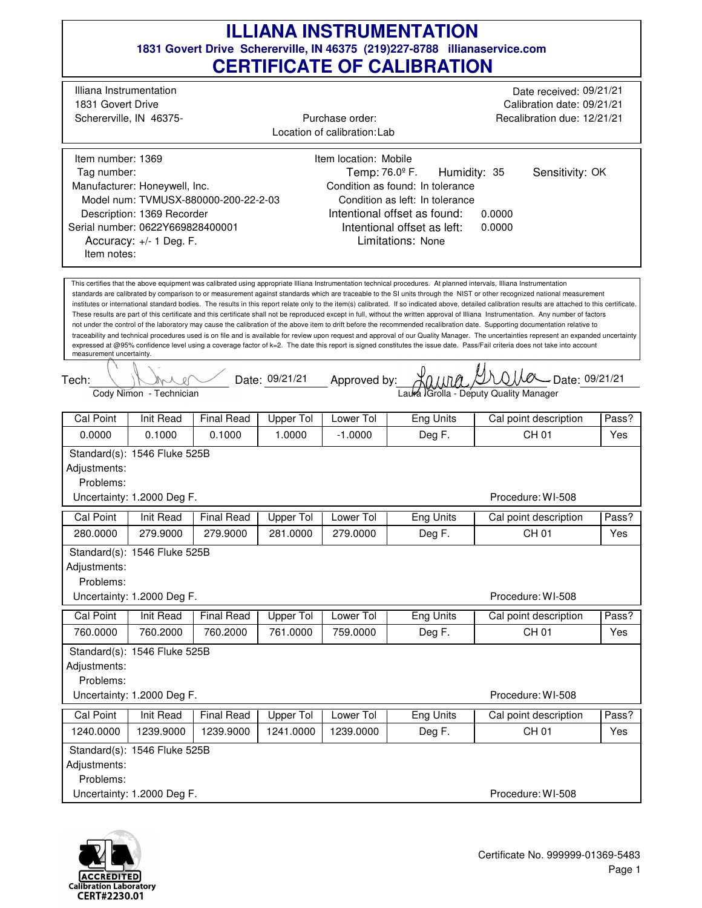|                                                                                                                                                                                                                                                                                                                                                                                                                                                                                                                                                                                                                                                                                                                                                                                                                                                                                                                                                                                                                                                                                                                                                                                                                                                                                                                                                                                                                                                                             |                                                                                                                                                                                                                                                                                                                                                                                                                                                                                    |                             |                     |                        | <u>CERTIFICATE OF CALIBRATION</u> |                                |              |  |  |
|-----------------------------------------------------------------------------------------------------------------------------------------------------------------------------------------------------------------------------------------------------------------------------------------------------------------------------------------------------------------------------------------------------------------------------------------------------------------------------------------------------------------------------------------------------------------------------------------------------------------------------------------------------------------------------------------------------------------------------------------------------------------------------------------------------------------------------------------------------------------------------------------------------------------------------------------------------------------------------------------------------------------------------------------------------------------------------------------------------------------------------------------------------------------------------------------------------------------------------------------------------------------------------------------------------------------------------------------------------------------------------------------------------------------------------------------------------------------------------|------------------------------------------------------------------------------------------------------------------------------------------------------------------------------------------------------------------------------------------------------------------------------------------------------------------------------------------------------------------------------------------------------------------------------------------------------------------------------------|-----------------------------|---------------------|------------------------|-----------------------------------|--------------------------------|--------------|--|--|
|                                                                                                                                                                                                                                                                                                                                                                                                                                                                                                                                                                                                                                                                                                                                                                                                                                                                                                                                                                                                                                                                                                                                                                                                                                                                                                                                                                                                                                                                             | Illiana Instrumentation<br>Date received: 09/21/21<br>1831 Govert Drive<br>Calibration date: 09/21/21<br>Purchase order:<br>Schererville, IN 46375-<br>Recalibration due: 12/21/21<br>Location of calibration: Lab                                                                                                                                                                                                                                                                 |                             |                     |                        |                                   |                                |              |  |  |
|                                                                                                                                                                                                                                                                                                                                                                                                                                                                                                                                                                                                                                                                                                                                                                                                                                                                                                                                                                                                                                                                                                                                                                                                                                                                                                                                                                                                                                                                             | Item location: Mobile<br>Item number: 1369<br>Temp: 76.0º F.<br>Sensitivity: OK<br>Humidity: 35<br>Tag number:<br>Manufacturer: Honeywell, Inc.<br>Condition as found: In tolerance<br>Model num: TVMUSX-880000-200-22-2-03<br>Condition as left: In tolerance<br>Intentional offset as found:<br>Description: 1369 Recorder<br>0.0000<br>Intentional offset as left:<br>Serial number: 0622Y669828400001<br>0.0000<br>Accuracy: +/- 1 Deg. F.<br>Limitations: None<br>Item notes: |                             |                     |                        |                                   |                                |              |  |  |
| This certifies that the above equipment was calibrated using appropriate Illiana Instrumentation technical procedures. At planned intervals, Illiana Instrumentation<br>standards are calibrated by comparison to or measurement against standards which are traceable to the SI units through the NIST or other recognized national measurement<br>institutes or international standard bodies. The results in this report relate only to the item(s) calibrated. If so indicated above, detailed calibration results are attached to this certificate.<br>These results are part of this certificate and this certificate shall not be reproduced except in full, without the written approval of Illiana Instrumentation. Any number of factors<br>not under the control of the laboratory may cause the calibration of the above item to drift before the recommended recalibration date. Supporting documentation relative to<br>traceability and technical procedures used is on file and is available for review upon request and approval of our Quality Manager. The uncertainties represent an expanded uncertainty<br>expressed at @95% confidence level using a coverage factor of k=2. The date this report is signed constitutes the issue date. Pass/Fail criteria does not take into account<br>measurement uncertainty.<br>Date: 09/21/21<br>- Date: 09/21/21<br>Approved by:<br>Tech:<br>Cody Nimon - Technician<br>Laura Grolla - Deputy Quality Manager |                                                                                                                                                                                                                                                                                                                                                                                                                                                                                    |                             |                     |                        |                                   |                                |              |  |  |
|                                                                                                                                                                                                                                                                                                                                                                                                                                                                                                                                                                                                                                                                                                                                                                                                                                                                                                                                                                                                                                                                                                                                                                                                                                                                                                                                                                                                                                                                             |                                                                                                                                                                                                                                                                                                                                                                                                                                                                                    |                             |                     |                        |                                   |                                |              |  |  |
| Cal Point<br>0.0000                                                                                                                                                                                                                                                                                                                                                                                                                                                                                                                                                                                                                                                                                                                                                                                                                                                                                                                                                                                                                                                                                                                                                                                                                                                                                                                                                                                                                                                         | Init Read<br>0.1000                                                                                                                                                                                                                                                                                                                                                                                                                                                                | <b>Final Read</b><br>0.1000 | Upper Tol<br>1.0000 | Lower Tol<br>$-1.0000$ | Eng Units<br>Deg F.               | Cal point description<br>CH 01 | Pass?<br>Yes |  |  |
| Adjustments:<br>Problems:                                                                                                                                                                                                                                                                                                                                                                                                                                                                                                                                                                                                                                                                                                                                                                                                                                                                                                                                                                                                                                                                                                                                                                                                                                                                                                                                                                                                                                                   | Standard(s): 1546 Fluke 525B<br>Uncertainty: 1.2000 Deg F.                                                                                                                                                                                                                                                                                                                                                                                                                         |                             |                     |                        |                                   | Procedure: WI-508              |              |  |  |
| Cal Point                                                                                                                                                                                                                                                                                                                                                                                                                                                                                                                                                                                                                                                                                                                                                                                                                                                                                                                                                                                                                                                                                                                                                                                                                                                                                                                                                                                                                                                                   | Init Read                                                                                                                                                                                                                                                                                                                                                                                                                                                                          | <b>Final Read</b>           | Upper Tol           | Lower Tol              | <b>Eng Units</b>                  | Cal point description          | Pass?        |  |  |
| 280.0000                                                                                                                                                                                                                                                                                                                                                                                                                                                                                                                                                                                                                                                                                                                                                                                                                                                                                                                                                                                                                                                                                                                                                                                                                                                                                                                                                                                                                                                                    | 279.9000                                                                                                                                                                                                                                                                                                                                                                                                                                                                           | 279,9000                    | 281.0000            | 279.0000               | Deg F.                            | <b>CH 01</b>                   | Yes          |  |  |
| Adjustments:<br>Problems:                                                                                                                                                                                                                                                                                                                                                                                                                                                                                                                                                                                                                                                                                                                                                                                                                                                                                                                                                                                                                                                                                                                                                                                                                                                                                                                                                                                                                                                   | Standard(s): 1546 Fluke 525B<br>Uncertainty: 1.2000 Deg F.                                                                                                                                                                                                                                                                                                                                                                                                                         |                             |                     |                        |                                   | Procedure: WI-508              |              |  |  |
| Cal Point                                                                                                                                                                                                                                                                                                                                                                                                                                                                                                                                                                                                                                                                                                                                                                                                                                                                                                                                                                                                                                                                                                                                                                                                                                                                                                                                                                                                                                                                   | Init Read                                                                                                                                                                                                                                                                                                                                                                                                                                                                          | <b>Final Read</b>           | <b>Upper Tol</b>    | Lower Tol              | <b>Eng Units</b>                  | Cal point description          | Pass?        |  |  |
| Problems:<br>Uncertainty: 1.2000 Deg F.                                                                                                                                                                                                                                                                                                                                                                                                                                                                                                                                                                                                                                                                                                                                                                                                                                                                                                                                                                                                                                                                                                                                                                                                                                                                                                                                                                                                                                     | <b>CH 01</b><br>760.0000<br>760.2000<br>760.2000<br>761.0000<br>759.0000<br>Deg F.<br>Yes<br>Standard(s): 1546 Fluke 525B<br>Adjustments:<br>Procedure: WI-508                                                                                                                                                                                                                                                                                                                     |                             |                     |                        |                                   |                                |              |  |  |
| Cal Point                                                                                                                                                                                                                                                                                                                                                                                                                                                                                                                                                                                                                                                                                                                                                                                                                                                                                                                                                                                                                                                                                                                                                                                                                                                                                                                                                                                                                                                                   | Init Read                                                                                                                                                                                                                                                                                                                                                                                                                                                                          | <b>Final Read</b>           | Upper Tol           | Lower Tol              | Eng Units                         | Cal point description          | Pass?        |  |  |
| 1240.0000                                                                                                                                                                                                                                                                                                                                                                                                                                                                                                                                                                                                                                                                                                                                                                                                                                                                                                                                                                                                                                                                                                                                                                                                                                                                                                                                                                                                                                                                   | 1239.9000                                                                                                                                                                                                                                                                                                                                                                                                                                                                          | 1239.9000                   | 1241.0000           | 1239.0000              | Deg F.                            | CH 01                          | Yes          |  |  |
| Adjustments:<br>Problems:                                                                                                                                                                                                                                                                                                                                                                                                                                                                                                                                                                                                                                                                                                                                                                                                                                                                                                                                                                                                                                                                                                                                                                                                                                                                                                                                                                                                                                                   | Standard(s): 1546 Fluke 525B<br>Uncertainty: 1.2000 Deg F.                                                                                                                                                                                                                                                                                                                                                                                                                         |                             |                     |                        |                                   | Procedure: WI-508              |              |  |  |

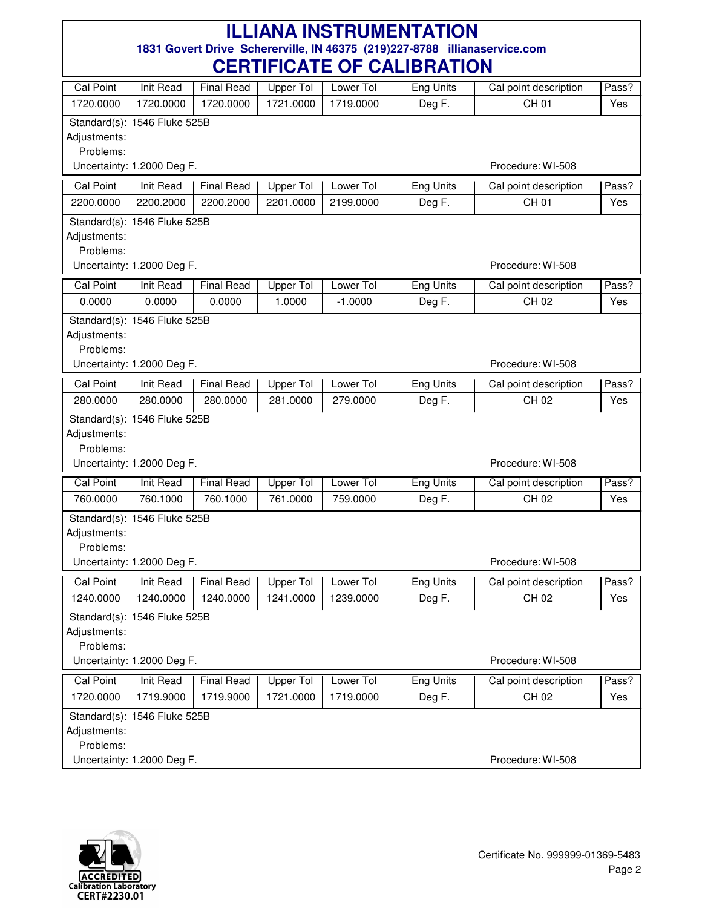| Cal Point                 | Init Read                    | <b>Final Read</b> | <b>Upper Tol</b> | Lower Tol | <b>Eng Units</b> | Cal point description | Pass? |
|---------------------------|------------------------------|-------------------|------------------|-----------|------------------|-----------------------|-------|
| 1720.0000                 | 1720.0000                    | 1720.0000         | 1721.0000        | 1719.0000 | Deg F.           | CH 01                 | Yes   |
|                           | Standard(s): 1546 Fluke 525B |                   |                  |           |                  |                       |       |
| Adjustments:              |                              |                   |                  |           |                  |                       |       |
| Problems:                 |                              |                   |                  |           |                  |                       |       |
|                           | Uncertainty: 1.2000 Deg F.   |                   |                  |           |                  | Procedure: WI-508     |       |
| Cal Point                 | Init Read                    | <b>Final Read</b> | Upper Tol        | Lower Tol | Eng Units        | Cal point description | Pass? |
| 2200.0000                 | 2200.2000                    | 2200.2000         | 2201.0000        | 2199.0000 | Deg F.           | CH 01                 | Yes   |
|                           | Standard(s): 1546 Fluke 525B |                   |                  |           |                  |                       |       |
| Adjustments:              |                              |                   |                  |           |                  |                       |       |
| Problems:                 |                              |                   |                  |           |                  |                       |       |
|                           | Uncertainty: 1.2000 Deg F.   |                   |                  |           |                  | Procedure: WI-508     |       |
| <b>Cal Point</b>          | Init Read                    | <b>Final Read</b> | <b>Upper Tol</b> | Lower Tol | <b>Eng Units</b> | Cal point description | Pass? |
| 0.0000                    | 0.0000                       | 0.0000            | 1.0000           | $-1.0000$ | Deg F.           | CH 02                 | Yes   |
|                           | Standard(s): 1546 Fluke 525B |                   |                  |           |                  |                       |       |
| Adjustments:              |                              |                   |                  |           |                  |                       |       |
| Problems:                 |                              |                   |                  |           |                  |                       |       |
|                           | Uncertainty: 1.2000 Deg F.   |                   |                  |           |                  | Procedure: WI-508     |       |
| <b>Cal Point</b>          | Init Read                    | <b>Final Read</b> | <b>Upper Tol</b> | Lower Tol | <b>Eng Units</b> | Cal point description | Pass? |
| 280.0000                  | 280.0000                     | 280.0000          | 281.0000         | 279.0000  | Deg F.           | CH 02                 | Yes   |
|                           | Standard(s): 1546 Fluke 525B |                   |                  |           |                  |                       |       |
| Adjustments:              |                              |                   |                  |           |                  |                       |       |
| Problems:                 |                              |                   |                  |           |                  | Procedure: WI-508     |       |
|                           | Uncertainty: 1.2000 Deg F.   |                   |                  |           |                  |                       |       |
| <b>Cal Point</b>          | <b>Init Read</b>             | <b>Final Read</b> | Upper Tol        | Lower Tol | <b>Eng Units</b> | Cal point description | Pass? |
| 760.0000                  | 760.1000                     | 760.1000          | 761.0000         | 759.0000  | Deg F.           | CH 02                 | Yes   |
|                           | Standard(s): 1546 Fluke 525B |                   |                  |           |                  |                       |       |
| Adjustments:              |                              |                   |                  |           |                  |                       |       |
| Problems:                 |                              |                   |                  |           |                  | Procedure: WI-508     |       |
|                           | Uncertainty: 1.2000 Deg F.   |                   |                  |           |                  |                       |       |
| Cal Point                 | Init Read                    | <b>Final Read</b> | Upper Tol        | Lower Tol | Eng Units        | Cal point description | Pass? |
| 1240.0000                 | 1240.0000                    | 1240.0000         | 1241.0000        | 1239.0000 | Deg F.           | CH 02                 | Yes   |
|                           | Standard(s): 1546 Fluke 525B |                   |                  |           |                  |                       |       |
| Adjustments:<br>Problems: |                              |                   |                  |           |                  |                       |       |
|                           | Uncertainty: 1.2000 Deg F.   |                   |                  |           |                  | Procedure: WI-508     |       |
|                           |                              |                   |                  |           |                  |                       |       |
| <b>Cal Point</b>          | <b>Init Read</b>             | <b>Final Read</b> | <b>Upper Tol</b> | Lower Tol | <b>Eng Units</b> | Cal point description | Pass? |
| 1720.0000                 | 1719.9000                    | 1719.9000         | 1721.0000        | 1719.0000 | Deg F.           | CH 02                 | Yes   |
|                           | Standard(s): 1546 Fluke 525B |                   |                  |           |                  |                       |       |
| Adjustments:<br>Problems: |                              |                   |                  |           |                  |                       |       |
|                           | Uncertainty: 1.2000 Deg F.   |                   |                  |           |                  | Procedure: WI-508     |       |
|                           |                              |                   |                  |           |                  |                       |       |

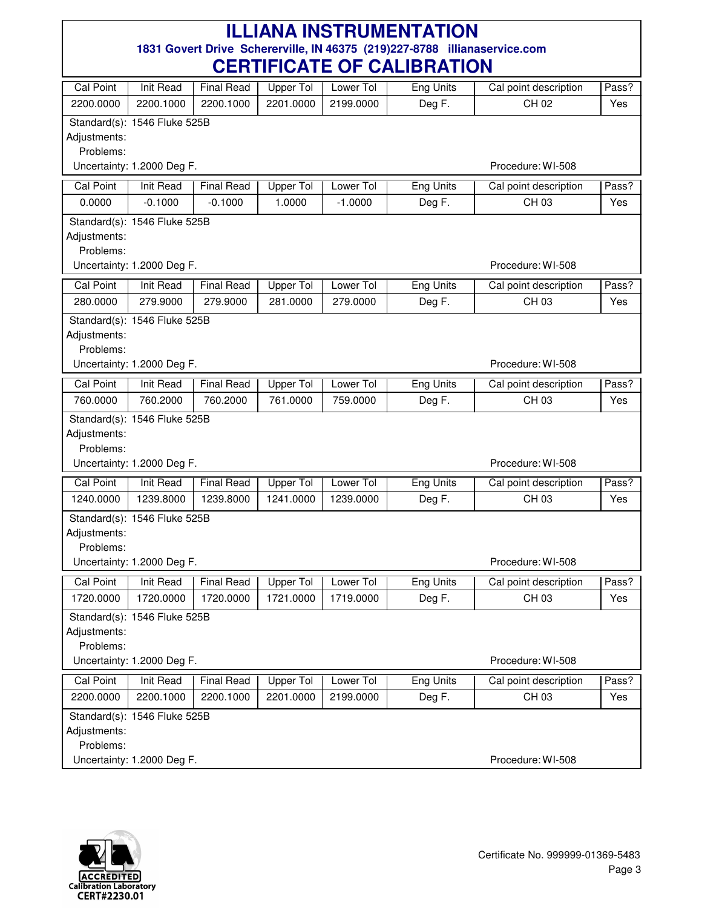| Cal Point                 | Init Read                    | <b>Final Read</b> | <b>Upper Tol</b>             | Lower Tol | Eng Units        | Cal point description | Pass? |
|---------------------------|------------------------------|-------------------|------------------------------|-----------|------------------|-----------------------|-------|
| 2200.0000                 | 2200.1000                    | 2200.1000         | 2201.0000                    | 2199.0000 | Deg F.           | CH 02                 | Yes   |
|                           | Standard(s): 1546 Fluke 525B |                   |                              |           |                  |                       |       |
| Adjustments:              |                              |                   |                              |           |                  |                       |       |
| Problems:                 |                              |                   |                              |           |                  |                       |       |
|                           | Uncertainty: 1.2000 Deg F.   |                   |                              |           |                  | Procedure: WI-508     |       |
| <b>Cal Point</b>          | Init Read                    | <b>Final Read</b> | <b>Upper Tol</b>             | Lower Tol | Eng Units        | Cal point description | Pass? |
| 0.0000                    | $-0.1000$                    | $-0.1000$         | 1.0000                       | $-1.0000$ | Deg F.           | CH 03                 | Yes   |
|                           | Standard(s): 1546 Fluke 525B |                   |                              |           |                  |                       |       |
| Adjustments:              |                              |                   |                              |           |                  |                       |       |
| Problems:                 |                              |                   |                              |           |                  | Procedure: WI-508     |       |
|                           | Uncertainty: 1.2000 Deg F.   |                   |                              |           |                  |                       |       |
| <b>Cal Point</b>          | Init Read                    | <b>Final Read</b> | <b>Upper Tol</b>             | Lower Tol | <b>Eng Units</b> | Cal point description | Pass? |
| 280.0000                  | 279.9000                     | 279.9000          | 281.0000                     | 279.0000  | Deg F.           | CH 03                 | Yes   |
|                           | Standard(s): 1546 Fluke 525B |                   |                              |           |                  |                       |       |
| Adjustments:<br>Problems: |                              |                   |                              |           |                  |                       |       |
|                           | Uncertainty: 1.2000 Deg F.   |                   |                              |           |                  | Procedure: WI-508     |       |
| <b>Cal Point</b>          | <b>Init Read</b>             | <b>Final Read</b> |                              | Lower Tol | <b>Eng Units</b> | Cal point description | Pass? |
| 760.0000                  | 760.2000                     | 760.2000          | <b>Upper Tol</b><br>761.0000 | 759.0000  | Deg F.           | CH 03                 | Yes   |
|                           |                              |                   |                              |           |                  |                       |       |
| Adjustments:              | Standard(s): 1546 Fluke 525B |                   |                              |           |                  |                       |       |
| Problems:                 |                              |                   |                              |           |                  |                       |       |
|                           | Uncertainty: 1.2000 Deg F.   |                   |                              |           |                  | Procedure: WI-508     |       |
| <b>Cal Point</b>          | Init Read                    | <b>Final Read</b> | <b>Upper Tol</b>             | Lower Tol | <b>Eng Units</b> | Cal point description | Pass? |
| 1240.0000                 | 1239.8000                    | 1239.8000         | 1241.0000                    | 1239.0000 | Deg F.           | CH 03                 | Yes   |
|                           | Standard(s): 1546 Fluke 525B |                   |                              |           |                  |                       |       |
| Adjustments:              |                              |                   |                              |           |                  |                       |       |
| Problems:                 |                              |                   |                              |           |                  |                       |       |
|                           | Uncertainty: 1.2000 Deg F.   |                   |                              |           |                  | Procedure: WI-508     |       |
| Cal Point                 | Init Read                    | <b>Final Read</b> | Upper Tol                    | Lower Tol | Eng Units        | Cal point description | Pass? |
| 1720.0000                 | 1720.0000                    | 1720.0000         | 1721.0000                    | 1719.0000 | Deg F.           | CH 03                 | Yes   |
|                           | Standard(s): 1546 Fluke 525B |                   |                              |           |                  |                       |       |
| Adjustments:              |                              |                   |                              |           |                  |                       |       |
| Problems:                 |                              |                   |                              |           |                  |                       |       |
|                           | Uncertainty: 1.2000 Deg F.   |                   |                              |           |                  | Procedure: WI-508     |       |
| Cal Point                 | <b>Init Read</b>             | <b>Final Read</b> | <b>Upper Tol</b>             | Lower Tol | <b>Eng Units</b> | Cal point description | Pass? |
| 2200.0000                 | 2200.1000                    | 2200.1000         | 2201.0000                    | 2199.0000 | Deg F.           | CH 03                 | Yes   |
|                           | Standard(s): 1546 Fluke 525B |                   |                              |           |                  |                       |       |
| Adjustments:              |                              |                   |                              |           |                  |                       |       |
| Problems:                 | Uncertainty: 1.2000 Deg F.   |                   |                              |           |                  | Procedure: WI-508     |       |
|                           |                              |                   |                              |           |                  |                       |       |

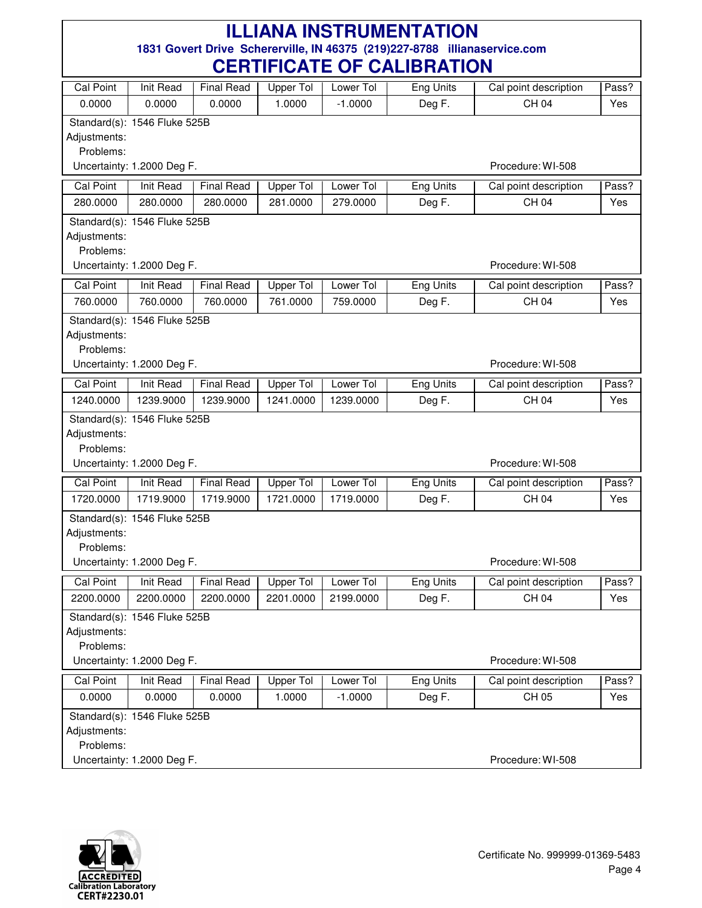|                  |                              |                   | VLIIIII IVAIL VI |           | <u>VALIPIIATIVII</u> |                       |       |
|------------------|------------------------------|-------------------|------------------|-----------|----------------------|-----------------------|-------|
| <b>Cal Point</b> | <b>Init Read</b>             | <b>Final Read</b> | Upper Tol        | Lower Tol | Eng Units            | Cal point description | Pass? |
| 0.0000           | 0.0000                       | 0.0000            | 1.0000           | $-1.0000$ | Deg F.               | CH 04                 | Yes   |
|                  | Standard(s): 1546 Fluke 525B |                   |                  |           |                      |                       |       |
| Adjustments:     |                              |                   |                  |           |                      |                       |       |
| Problems:        |                              |                   |                  |           |                      |                       |       |
|                  | Uncertainty: 1.2000 Deg F.   |                   |                  |           |                      | Procedure: WI-508     |       |
| <b>Cal Point</b> | Init Read                    | <b>Final Read</b> | Upper Tol        | Lower Tol | <b>Eng Units</b>     | Cal point description | Pass? |
| 280.0000         | 280.0000                     | 280.0000          | 281.0000         | 279.0000  | Deg F.               | <b>CH 04</b>          | Yes   |
|                  | Standard(s): 1546 Fluke 525B |                   |                  |           |                      |                       |       |
| Adjustments:     |                              |                   |                  |           |                      |                       |       |
| Problems:        |                              |                   |                  |           |                      |                       |       |
|                  | Uncertainty: 1.2000 Deg F.   |                   |                  |           |                      | Procedure: WI-508     |       |
| <b>Cal Point</b> | Init Read                    | <b>Final Read</b> | Upper Tol        | Lower Tol | <b>Eng Units</b>     | Cal point description | Pass? |
| 760.0000         | 760.0000                     | 760.0000          | 761.0000         | 759.0000  | Deg F.               | CH 04                 | Yes   |
|                  | Standard(s): 1546 Fluke 525B |                   |                  |           |                      |                       |       |
| Adjustments:     |                              |                   |                  |           |                      |                       |       |
| Problems:        |                              |                   |                  |           |                      |                       |       |
|                  | Uncertainty: 1.2000 Deg F.   |                   |                  |           |                      | Procedure: WI-508     |       |
| Cal Point        | Init Read                    | <b>Final Read</b> | <b>Upper Tol</b> | Lower Tol | <b>Eng Units</b>     | Cal point description | Pass? |
| 1240.0000        | 1239.9000                    | 1239.9000         | 1241.0000        | 1239.0000 | Deg F.               | CH 04                 | Yes   |
|                  | Standard(s): 1546 Fluke 525B |                   |                  |           |                      |                       |       |
| Adjustments:     |                              |                   |                  |           |                      |                       |       |
| Problems:        |                              |                   |                  |           |                      |                       |       |
|                  | Uncertainty: 1.2000 Deg F.   |                   |                  |           |                      | Procedure: WI-508     |       |
| <b>Cal Point</b> | <b>Init Read</b>             | <b>Final Read</b> | <b>Upper Tol</b> | Lower Tol | Eng Units            | Cal point description | Pass? |
| 1720.0000        | 1719.9000                    | 1719.9000         | 1721.0000        | 1719.0000 | Deg F.               | CH 04                 | Yes   |
|                  | Standard(s): 1546 Fluke 525B |                   |                  |           |                      |                       |       |
| Adjustments:     |                              |                   |                  |           |                      |                       |       |
| Problems:        |                              |                   |                  |           |                      |                       |       |
|                  | Uncertainty: 1.2000 Deg F.   |                   |                  |           |                      | Procedure: WI-508     |       |
| <b>Cal Point</b> | Init Read                    | <b>Final Read</b> | Upper Tol        | Lower Tol | Eng Units            | Cal point description | Pass? |
| 2200.0000        | 2200.0000                    | 2200.0000         | 2201.0000        | 2199.0000 | Deg F.               | CH 04                 | Yes   |
|                  | Standard(s): 1546 Fluke 525B |                   |                  |           |                      |                       |       |
| Adjustments:     |                              |                   |                  |           |                      |                       |       |
| Problems:        |                              |                   |                  |           |                      |                       |       |
|                  | Uncertainty: 1.2000 Deg F.   |                   |                  |           |                      | Procedure: WI-508     |       |
| <b>Cal Point</b> | Init Read                    | <b>Final Read</b> | Upper Tol        | Lower Tol | <b>Eng Units</b>     | Cal point description | Pass? |
| 0.0000           | 0.0000                       | 0.0000            | 1.0000           | $-1.0000$ | Deg F.               | CH 05                 | Yes   |
|                  | Standard(s): 1546 Fluke 525B |                   |                  |           |                      |                       |       |
| Adjustments:     |                              |                   |                  |           |                      |                       |       |
| Problems:        |                              |                   |                  |           |                      |                       |       |
|                  | Uncertainty: 1.2000 Deg F.   |                   |                  |           |                      | Procedure: WI-508     |       |

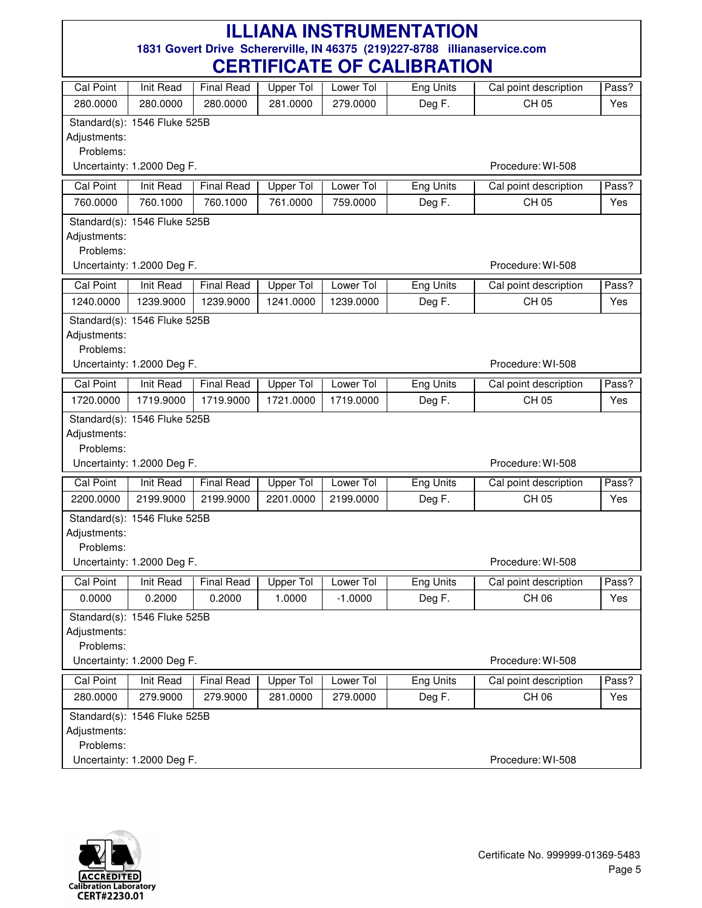|                               |                               |                                | VLIIIII IVATE VI              |                        | <u>VALIDI IATIVIT</u>      |                                |              |
|-------------------------------|-------------------------------|--------------------------------|-------------------------------|------------------------|----------------------------|--------------------------------|--------------|
| <b>Cal Point</b>              | <b>Init Read</b>              | <b>Final Read</b>              | Upper Tol                     | Lower Tol              | Eng Units                  | Cal point description          | Pass?        |
| 280.0000                      | 280.0000                      | 280.0000                       | 281.0000                      | 279.0000               | Deg F.                     | CH 05                          | Yes          |
|                               | Standard(s): 1546 Fluke 525B  |                                |                               |                        |                            |                                |              |
| Adjustments:                  |                               |                                |                               |                        |                            |                                |              |
| Problems:                     |                               |                                |                               |                        |                            |                                |              |
|                               | Uncertainty: 1.2000 Deg F.    |                                |                               |                        |                            | Procedure: WI-508              |              |
| <b>Cal Point</b>              | Init Read                     | <b>Final Read</b>              | <b>Upper Tol</b>              | Lower Tol              | Eng Units                  | Cal point description          | Pass?        |
| 760.0000                      | 760.1000                      | 760.1000                       | 761.0000                      | 759.0000               | Deg F.                     | CH 05                          | Yes          |
|                               | Standard(s): 1546 Fluke 525B  |                                |                               |                        |                            |                                |              |
| Adjustments:                  |                               |                                |                               |                        |                            |                                |              |
| Problems:                     |                               |                                |                               |                        |                            | Procedure: WI-508              |              |
|                               | Uncertainty: 1.2000 Deg F.    |                                |                               |                        |                            |                                |              |
| <b>Cal Point</b>              | <b>Init Read</b>              | <b>Final Read</b>              | <b>Upper Tol</b>              | Lower Tol              | Eng Units                  | Cal point description          | Pass?        |
| 1240.0000                     | 1239.9000                     | 1239.9000                      | 1241.0000                     | 1239.0000              | Deg F.                     | CH 05                          | Yes          |
|                               | Standard(s): 1546 Fluke 525B  |                                |                               |                        |                            |                                |              |
| Adjustments:<br>Problems:     |                               |                                |                               |                        |                            |                                |              |
|                               | Uncertainty: 1.2000 Deg F.    |                                |                               |                        |                            | Procedure: WI-508              |              |
|                               |                               |                                |                               |                        |                            |                                |              |
| <b>Cal Point</b><br>1720.0000 | <b>Init Read</b><br>1719.9000 | <b>Final Read</b><br>1719.9000 | <b>Upper Tol</b><br>1721.0000 | Lower Tol<br>1719.0000 | <b>Eng Units</b><br>Deg F. | Cal point description<br>CH 05 | Pass?<br>Yes |
|                               |                               |                                |                               |                        |                            |                                |              |
| Adjustments:                  | Standard(s): 1546 Fluke 525B  |                                |                               |                        |                            |                                |              |
| Problems:                     |                               |                                |                               |                        |                            |                                |              |
|                               | Uncertainty: 1.2000 Deg F.    |                                |                               |                        |                            | Procedure: WI-508              |              |
| <b>Cal Point</b>              | <b>Init Read</b>              | <b>Final Read</b>              | <b>Upper Tol</b>              | Lower Tol              | Eng Units                  | Cal point description          | Pass?        |
| 2200.0000                     | 2199.9000                     | 2199.9000                      | 2201.0000                     | 2199.0000              | Deg F.                     | CH 05                          | Yes          |
|                               | Standard(s): 1546 Fluke 525B  |                                |                               |                        |                            |                                |              |
| Adjustments:                  |                               |                                |                               |                        |                            |                                |              |
| Problems:                     |                               |                                |                               |                        |                            |                                |              |
|                               | Uncertainty: 1.2000 Deg F.    |                                |                               |                        |                            | Procedure: WI-508              |              |
| <b>Cal Point</b>              | <b>Init Read</b>              | <b>Final Read</b>              | Upper Tol                     | Lower Tol              | <b>Eng Units</b>           | Cal point description          | Pass?        |
| 0.0000                        | 0.2000                        | 0.2000                         | 1.0000                        | $-1.0000$              | Deg F.                     | CH 06                          | Yes          |
|                               | Standard(s): 1546 Fluke 525B  |                                |                               |                        |                            |                                |              |
| Adjustments:                  |                               |                                |                               |                        |                            |                                |              |
| Problems:                     |                               |                                |                               |                        |                            |                                |              |
|                               | Uncertainty: 1.2000 Deg F.    |                                |                               |                        |                            | Procedure: WI-508              |              |
| <b>Cal Point</b>              | Init Read                     | <b>Final Read</b>              | Upper Tol                     | Lower Tol              | Eng Units                  | Cal point description          | Pass?        |
| 280.0000                      | 279.9000                      | 279.9000                       | 281.0000                      | 279.0000               | Deg F.                     | CH 06                          | Yes          |
|                               | Standard(s): 1546 Fluke 525B  |                                |                               |                        |                            |                                |              |
| Adjustments:                  |                               |                                |                               |                        |                            |                                |              |
| Problems:                     |                               |                                |                               |                        |                            |                                |              |
|                               | Uncertainty: 1.2000 Deg F.    |                                |                               |                        |                            | Procedure: WI-508              |              |

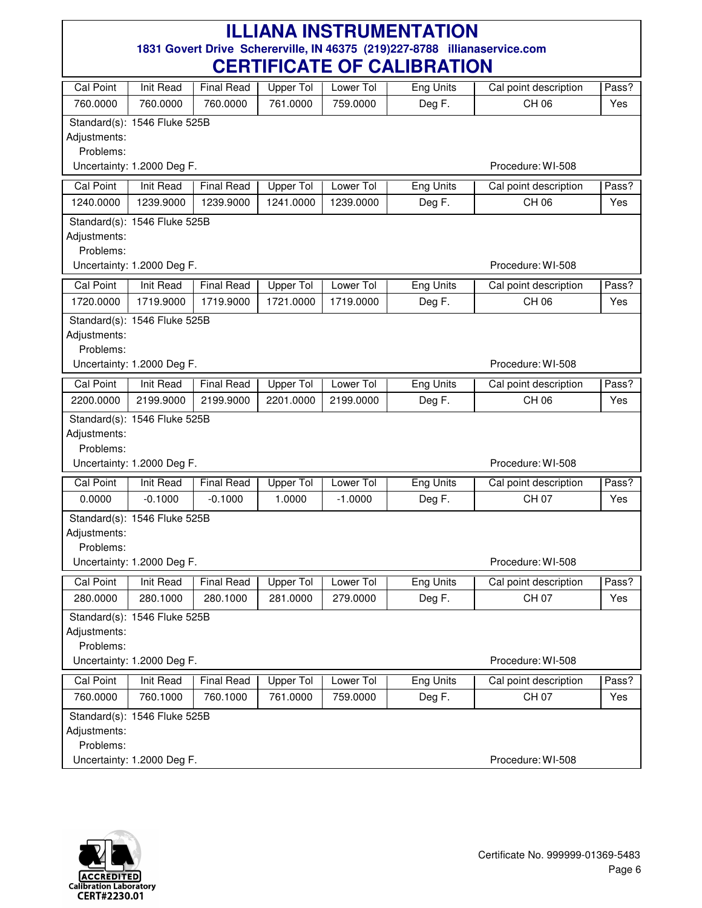| <b>Cal Point</b>          | <b>Init Read</b>             | <b>Final Read</b> | <b>Upper Tol</b> | Lower Tol | Eng Units        | Cal point description | Pass? |
|---------------------------|------------------------------|-------------------|------------------|-----------|------------------|-----------------------|-------|
| 760.0000                  | 760.0000                     | 760.0000          | 761.0000         | 759.0000  | Deg F.           | CH 06                 | Yes   |
|                           | Standard(s): 1546 Fluke 525B |                   |                  |           |                  |                       |       |
| Adjustments:              |                              |                   |                  |           |                  |                       |       |
| Problems:                 |                              |                   |                  |           |                  |                       |       |
|                           | Uncertainty: 1.2000 Deg F.   |                   |                  |           |                  | Procedure: WI-508     |       |
| Cal Point                 | Init Read                    | <b>Final Read</b> | <b>Upper Tol</b> | Lower Tol | Eng Units        | Cal point description | Pass? |
| 1240.0000                 | 1239.9000                    | 1239.9000         | 1241.0000        | 1239.0000 | Deg F.           | CH 06                 | Yes   |
|                           | Standard(s): 1546 Fluke 525B |                   |                  |           |                  |                       |       |
| Adjustments:              |                              |                   |                  |           |                  |                       |       |
| Problems:                 | Uncertainty: 1.2000 Deg F.   |                   |                  |           |                  | Procedure: WI-508     |       |
|                           |                              |                   |                  |           |                  |                       |       |
| <b>Cal Point</b>          | Init Read                    | <b>Final Read</b> | <b>Upper Tol</b> | Lower Tol | <b>Eng Units</b> | Cal point description | Pass? |
| 1720.0000                 | 1719.9000                    | 1719.9000         | 1721.0000        | 1719.0000 | Deg F.           | CH 06                 | Yes   |
|                           | Standard(s): 1546 Fluke 525B |                   |                  |           |                  |                       |       |
| Adjustments:<br>Problems: |                              |                   |                  |           |                  |                       |       |
|                           | Uncertainty: 1.2000 Deg F.   |                   |                  |           |                  | Procedure: WI-508     |       |
| Cal Point                 | Init Read                    | <b>Final Read</b> | <b>Upper Tol</b> | Lower Tol | <b>Eng Units</b> | Cal point description | Pass? |
| 2200.0000                 | 2199.9000                    | 2199.9000         | 2201.0000        | 2199.0000 | Deg F.           | CH 06                 | Yes   |
|                           |                              |                   |                  |           |                  |                       |       |
| Adjustments:              | Standard(s): 1546 Fluke 525B |                   |                  |           |                  |                       |       |
| Problems:                 |                              |                   |                  |           |                  |                       |       |
|                           | Uncertainty: 1.2000 Deg F.   |                   |                  |           |                  | Procedure: WI-508     |       |
| <b>Cal Point</b>          | <b>Init Read</b>             | <b>Final Read</b> | <b>Upper Tol</b> | Lower Tol | <b>Eng Units</b> | Cal point description | Pass? |
| 0.0000                    | $-0.1000$                    | $-0.1000$         | 1.0000           | $-1.0000$ | Deg F.           | CH 07                 | Yes   |
|                           | Standard(s): 1546 Fluke 525B |                   |                  |           |                  |                       |       |
| Adjustments:              |                              |                   |                  |           |                  |                       |       |
| Problems:                 |                              |                   |                  |           |                  |                       |       |
|                           | Uncertainty: 1.2000 Deg F.   |                   |                  |           |                  | Procedure: WI-508     |       |
| Cal Point                 | Init Read                    | <b>Final Read</b> | <b>Upper Tol</b> | Lower Tol | <b>Eng Units</b> | Cal point description | Pass? |
| 280.0000                  | 280.1000                     | 280.1000          | 281.0000         | 279.0000  | Deg F.           | CH 07                 | Yes   |
|                           | Standard(s): 1546 Fluke 525B |                   |                  |           |                  |                       |       |
| Adjustments:              |                              |                   |                  |           |                  |                       |       |
| Problems:                 |                              |                   |                  |           |                  |                       |       |
|                           | Uncertainty: 1.2000 Deg F.   |                   |                  |           |                  | Procedure: WI-508     |       |
| <b>Cal Point</b>          | <b>Init Read</b>             | <b>Final Read</b> | <b>Upper Tol</b> | Lower Tol | <b>Eng Units</b> | Cal point description | Pass? |
| 760.0000                  | 760.1000                     | 760.1000          | 761.0000         | 759.0000  | Deg F.           | <b>CH 07</b>          | Yes   |
|                           | Standard(s): 1546 Fluke 525B |                   |                  |           |                  |                       |       |
| Adjustments:              |                              |                   |                  |           |                  |                       |       |
| Problems:                 |                              |                   |                  |           |                  |                       |       |
|                           | Uncertainty: 1.2000 Deg F.   |                   |                  |           |                  | Procedure: WI-508     |       |

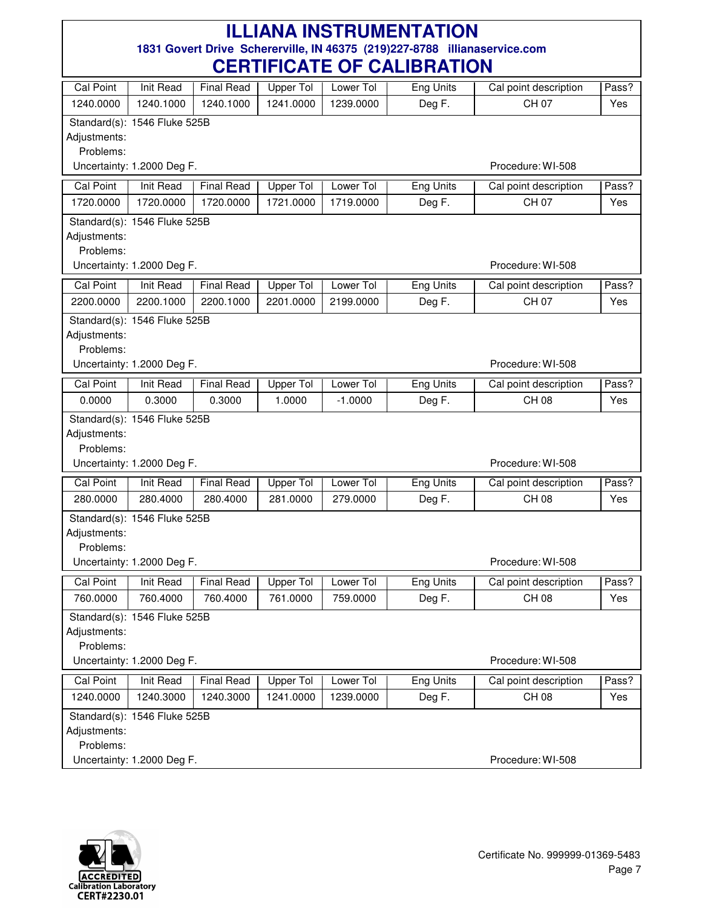|                           |                              |                             | VLIIIII IVAIL VI    |           | <u>VALIDI IATIVIT</u> |                                       |              |
|---------------------------|------------------------------|-----------------------------|---------------------|-----------|-----------------------|---------------------------------------|--------------|
| <b>Cal Point</b>          | Init Read                    | <b>Final Read</b>           | Upper Tol           | Lower Tol | Eng Units             | Cal point description                 | Pass?        |
| 1240.0000                 | 1240.1000                    | 1240.1000                   | 1241.0000           | 1239.0000 | Deg F.                | CH 07                                 | Yes          |
|                           | Standard(s): 1546 Fluke 525B |                             |                     |           |                       |                                       |              |
| Adjustments:              |                              |                             |                     |           |                       |                                       |              |
| Problems:                 |                              |                             |                     |           |                       |                                       |              |
|                           | Uncertainty: 1.2000 Deg F.   |                             |                     |           |                       | Procedure: WI-508                     |              |
| Cal Point                 | <b>Init Read</b>             | <b>Final Read</b>           | <b>Upper Tol</b>    | Lower Tol | Eng Units             | Cal point description                 | Pass?        |
| 1720.0000                 | 1720.0000                    | 1720.0000                   | 1721.0000           | 1719.0000 | Deg F.                | CH 07                                 | Yes          |
|                           | Standard(s): 1546 Fluke 525B |                             |                     |           |                       |                                       |              |
| Adjustments:              |                              |                             |                     |           |                       |                                       |              |
| Problems:                 | Uncertainty: 1.2000 Deg F.   |                             |                     |           |                       | Procedure: WI-508                     |              |
|                           |                              |                             |                     |           |                       |                                       |              |
| <b>Cal Point</b>          | Init Read                    | <b>Final Read</b>           | Upper Tol           | Lower Tol | <b>Eng Units</b>      | Cal point description                 | Pass?        |
| 2200.0000                 | 2200.1000                    | 2200.1000                   | 2201.0000           | 2199.0000 | Deg F.                | CH 07                                 | Yes          |
|                           | Standard(s): 1546 Fluke 525B |                             |                     |           |                       |                                       |              |
| Adjustments:<br>Problems: |                              |                             |                     |           |                       |                                       |              |
|                           | Uncertainty: 1.2000 Deg F.   |                             |                     |           |                       | Procedure: WI-508                     |              |
|                           |                              |                             |                     | Lower Tol |                       |                                       |              |
| Cal Point<br>0.0000       | Init Read<br>0.3000          | <b>Final Read</b><br>0.3000 | Upper Tol<br>1.0000 | $-1.0000$ | <b>Eng Units</b>      | Cal point description<br><b>CH 08</b> | Pass?<br>Yes |
|                           |                              |                             |                     |           | Deg F.                |                                       |              |
| Adjustments:              | Standard(s): 1546 Fluke 525B |                             |                     |           |                       |                                       |              |
| Problems:                 |                              |                             |                     |           |                       |                                       |              |
|                           | Uncertainty: 1.2000 Deg F.   |                             |                     |           |                       | Procedure: WI-508                     |              |
| <b>Cal Point</b>          | <b>Init Read</b>             | <b>Final Read</b>           | Upper Tol           | Lower Tol | Eng Units             | Cal point description                 | Pass?        |
| 280.0000                  | 280.4000                     | 280.4000                    | 281.0000            | 279.0000  | Deg F.                | CH 08                                 | Yes          |
|                           | Standard(s): 1546 Fluke 525B |                             |                     |           |                       |                                       |              |
| Adjustments:              |                              |                             |                     |           |                       |                                       |              |
| Problems:                 |                              |                             |                     |           |                       |                                       |              |
|                           | Uncertainty: 1.2000 Deg F.   |                             |                     |           |                       | Procedure: WI-508                     |              |
| <b>Cal Point</b>          | Init Read                    | Final Read                  | Upper Tol           | Lower Tol | Eng Units             | Cal point description                 | Pass?        |
| 760.0000                  | 760.4000                     | 760.4000                    | 761.0000            | 759.0000  | Deg F.                | <b>CH 08</b>                          | Yes          |
|                           | Standard(s): 1546 Fluke 525B |                             |                     |           |                       |                                       |              |
| Adjustments:              |                              |                             |                     |           |                       |                                       |              |
| Problems:                 |                              |                             |                     |           |                       |                                       |              |
|                           | Uncertainty: 1.2000 Deg F.   |                             |                     |           |                       | Procedure: WI-508                     |              |
| <b>Cal Point</b>          | Init Read                    | <b>Final Read</b>           | Upper Tol           | Lower Tol | <b>Eng Units</b>      | Cal point description                 | Pass?        |
| 1240.0000                 | 1240.3000                    | 1240.3000                   | 1241.0000           | 1239.0000 | Deg F.                | <b>CH 08</b>                          | Yes          |
|                           | Standard(s): 1546 Fluke 525B |                             |                     |           |                       |                                       |              |
| Adjustments:              |                              |                             |                     |           |                       |                                       |              |
| Problems:                 |                              |                             |                     |           |                       |                                       |              |
|                           | Uncertainty: 1.2000 Deg F.   |                             |                     |           |                       | Procedure: WI-508                     |              |

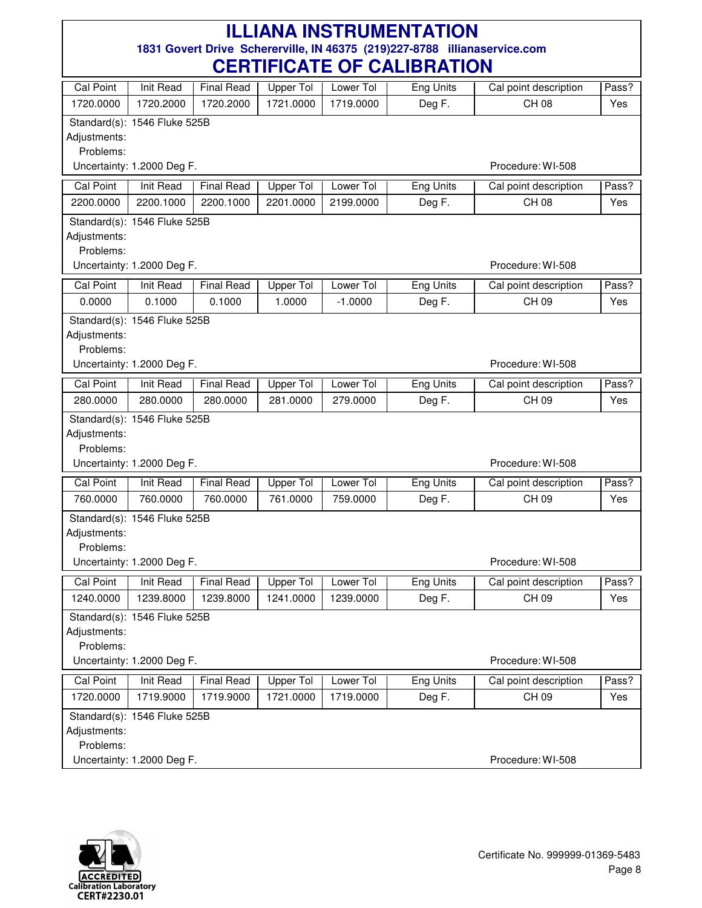| Cal Point                 | Init Read                    | <b>Final Read</b> | <b>Upper Tol</b> | Lower Tol | Eng Units        | Cal point description | Pass? |
|---------------------------|------------------------------|-------------------|------------------|-----------|------------------|-----------------------|-------|
| 1720.0000                 | 1720.2000                    | 1720.2000         | 1721.0000        | 1719.0000 | Deg F.           | CH 08                 | Yes   |
|                           | Standard(s): 1546 Fluke 525B |                   |                  |           |                  |                       |       |
| Adjustments:              |                              |                   |                  |           |                  |                       |       |
| Problems:                 |                              |                   |                  |           |                  |                       |       |
|                           | Uncertainty: 1.2000 Deg F.   |                   |                  |           |                  | Procedure: WI-508     |       |
| <b>Cal Point</b>          | <b>Init Read</b>             | <b>Final Read</b> | <b>Upper Tol</b> | Lower Tol | Eng Units        | Cal point description | Pass? |
| 2200.0000                 | 2200.1000                    | 2200.1000         | 2201.0000        | 2199.0000 | Deg F.           | CH 08                 | Yes   |
|                           | Standard(s): 1546 Fluke 525B |                   |                  |           |                  |                       |       |
| Adjustments:              |                              |                   |                  |           |                  |                       |       |
| Problems:                 |                              |                   |                  |           |                  | Procedure: WI-508     |       |
|                           | Uncertainty: 1.2000 Deg F.   |                   |                  |           |                  |                       |       |
| <b>Cal Point</b>          | Init Read                    | <b>Final Read</b> | <b>Upper Tol</b> | Lower Tol | <b>Eng Units</b> | Cal point description | Pass? |
| 0.0000                    | 0.1000                       | 0.1000            | 1.0000           | $-1.0000$ | Deg F.           | CH 09                 | Yes   |
|                           | Standard(s): 1546 Fluke 525B |                   |                  |           |                  |                       |       |
| Adjustments:<br>Problems: |                              |                   |                  |           |                  |                       |       |
|                           | Uncertainty: 1.2000 Deg F.   |                   |                  |           |                  | Procedure: WI-508     |       |
|                           |                              |                   |                  |           |                  |                       |       |
| <b>Cal Point</b>          | <b>Init Read</b>             | <b>Final Read</b> | <b>Upper Tol</b> | Lower Tol | <b>Eng Units</b> | Cal point description | Pass? |
| 280.0000                  | 280.0000                     | 280.0000          | 281.0000         | 279.0000  | Deg F.           | CH 09                 | Yes   |
|                           | Standard(s): 1546 Fluke 525B |                   |                  |           |                  |                       |       |
| Adjustments:<br>Problems: |                              |                   |                  |           |                  |                       |       |
|                           | Uncertainty: 1.2000 Deg F.   |                   |                  |           |                  | Procedure: WI-508     |       |
| <b>Cal Point</b>          | Init Read                    | <b>Final Read</b> | <b>Upper Tol</b> | Lower Tol | <b>Eng Units</b> | Cal point description | Pass? |
| 760.0000                  | 760.0000                     | 760.0000          | 761.0000         | 759.0000  | Deg F.           | CH 09                 | Yes   |
|                           |                              |                   |                  |           |                  |                       |       |
| Adjustments:              | Standard(s): 1546 Fluke 525B |                   |                  |           |                  |                       |       |
| Problems:                 |                              |                   |                  |           |                  |                       |       |
|                           | Uncertainty: 1.2000 Deg F.   |                   |                  |           |                  | Procedure: WI-508     |       |
| Cal Point                 | Init Read                    | <b>Final Read</b> | Upper Tol        | Lower Tol | Eng Units        | Cal point description | Pass? |
| 1240.0000                 | 1239.8000                    | 1239.8000         | 1241.0000        | 1239.0000 | Deg F.           | CH 09                 | Yes   |
|                           | Standard(s): 1546 Fluke 525B |                   |                  |           |                  |                       |       |
| Adjustments:              |                              |                   |                  |           |                  |                       |       |
| Problems:                 |                              |                   |                  |           |                  |                       |       |
|                           | Uncertainty: 1.2000 Deg F.   |                   |                  |           |                  | Procedure: WI-508     |       |
| <b>Cal Point</b>          | <b>Init Read</b>             | <b>Final Read</b> | <b>Upper Tol</b> | Lower Tol | <b>Eng Units</b> | Cal point description | Pass? |
| 1720.0000                 | 1719.9000                    | 1719.9000         | 1721.0000        | 1719.0000 | Deg F.           | CH 09                 | Yes   |
|                           | Standard(s): 1546 Fluke 525B |                   |                  |           |                  |                       |       |
| Adjustments:              |                              |                   |                  |           |                  |                       |       |
| Problems:                 |                              |                   |                  |           |                  |                       |       |
|                           | Uncertainty: 1.2000 Deg F.   |                   |                  |           |                  | Procedure: WI-508     |       |

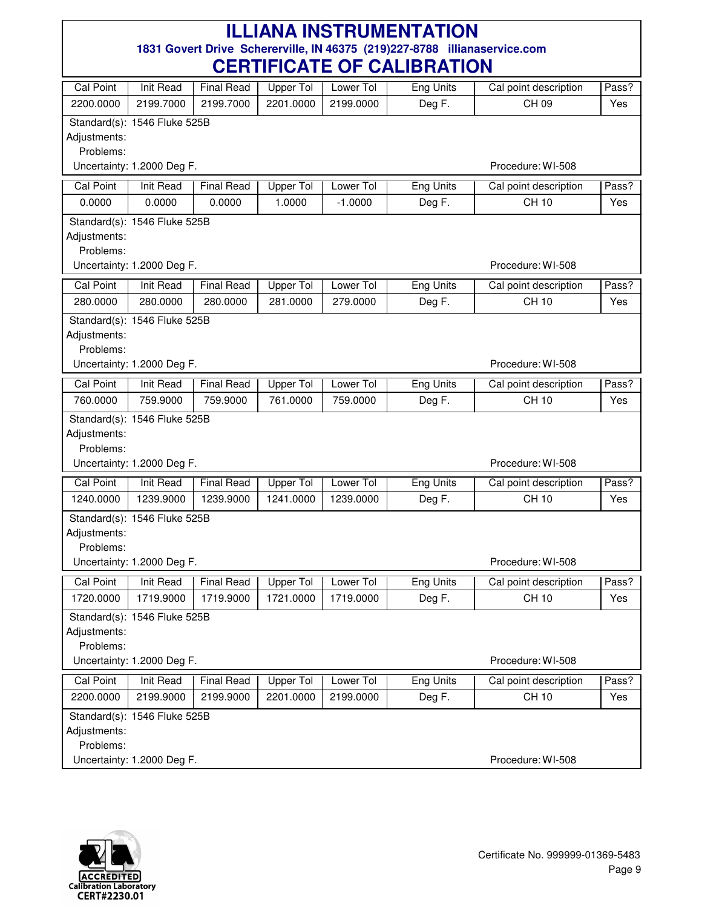|                           |                               |                                | ыш іулін VI                   |                        | <u>VALIDI IATIVIT</u> |                                       |              |
|---------------------------|-------------------------------|--------------------------------|-------------------------------|------------------------|-----------------------|---------------------------------------|--------------|
| <b>Cal Point</b>          | <b>Init Read</b>              | <b>Final Read</b>              | Upper Tol                     | Lower Tol              | Eng Units             | Cal point description                 | Pass?        |
| 2200.0000                 | 2199.7000                     | 2199.7000                      | 2201.0000                     | 2199.0000              | Deg F.                | CH 09                                 | Yes          |
|                           | Standard(s): 1546 Fluke 525B  |                                |                               |                        |                       |                                       |              |
| Adjustments:              |                               |                                |                               |                        |                       |                                       |              |
| Problems:                 |                               |                                |                               |                        |                       |                                       |              |
|                           | Uncertainty: 1.2000 Deg F.    |                                |                               |                        |                       | Procedure: WI-508                     |              |
| <b>Cal Point</b>          | Init Read                     | <b>Final Read</b>              | <b>Upper Tol</b>              | Lower Tol              | Eng Units             | Cal point description                 | Pass?        |
| 0.0000                    | 0.0000                        | 0.0000                         | 1.0000                        | $-1.0000$              | Deg F.                | <b>CH 10</b>                          | Yes          |
|                           | Standard(s): 1546 Fluke 525B  |                                |                               |                        |                       |                                       |              |
| Adjustments:              |                               |                                |                               |                        |                       |                                       |              |
| Problems:                 | Uncertainty: 1.2000 Deg F.    |                                |                               |                        |                       | Procedure: WI-508                     |              |
|                           |                               |                                |                               |                        |                       |                                       |              |
| <b>Cal Point</b>          | Init Read                     | <b>Final Read</b>              | <b>Upper Tol</b>              | Lower Tol              | Eng Units             | Cal point description<br><b>CH 10</b> | Pass?        |
| 280.0000                  | 280.0000                      | 280.0000                       | 281.0000                      | 279.0000               | Deg F.                |                                       | Yes          |
|                           | Standard(s): 1546 Fluke 525B  |                                |                               |                        |                       |                                       |              |
| Adjustments:<br>Problems: |                               |                                |                               |                        |                       |                                       |              |
|                           | Uncertainty: 1.2000 Deg F.    |                                |                               |                        |                       | Procedure: WI-508                     |              |
| <b>Cal Point</b>          | Init Read                     | <b>Final Read</b>              | <b>Upper Tol</b>              | Lower Tol              | <b>Eng Units</b>      | Cal point description                 | Pass?        |
| 760.0000                  | 759.9000                      | 759.9000                       | 761.0000                      | 759.0000               | Deg F.                | <b>CH 10</b>                          | Yes          |
|                           | Standard(s): 1546 Fluke 525B  |                                |                               |                        |                       |                                       |              |
| Adjustments:              |                               |                                |                               |                        |                       |                                       |              |
| Problems:                 |                               |                                |                               |                        |                       |                                       |              |
|                           | Uncertainty: 1.2000 Deg F.    |                                |                               |                        |                       | Procedure: WI-508                     |              |
| <b>Cal Point</b>          | <b>Init Read</b>              | <b>Final Read</b>              | <b>Upper Tol</b>              | Lower Tol              | Eng Units             | Cal point description                 | Pass?        |
| 1240.0000                 | 1239.9000                     | 1239.9000                      | 1241.0000                     | 1239.0000              | Deg F.                | <b>CH 10</b>                          | Yes          |
|                           | Standard(s): 1546 Fluke 525B  |                                |                               |                        |                       |                                       |              |
| Adjustments:              |                               |                                |                               |                        |                       |                                       |              |
| Problems:                 |                               |                                |                               |                        |                       |                                       |              |
|                           | Uncertainty: 1.2000 Deg F.    |                                |                               |                        |                       | Procedure: WI-508                     |              |
| <b>Cal Point</b>          | Init Read                     | Final Read                     | Upper Tol                     | Lower Tol              | Eng Units             | Cal point description                 | Pass?        |
| 1720.0000                 | 1719.9000                     | 1719.9000                      | 1721.0000                     | 1719.0000              | Deg F.                | CH 10                                 | Yes          |
|                           | Standard(s): 1546 Fluke 525B  |                                |                               |                        |                       |                                       |              |
| Adjustments:              |                               |                                |                               |                        |                       |                                       |              |
| Problems:                 | Uncertainty: 1.2000 Deg F.    |                                |                               |                        |                       | Procedure: WI-508                     |              |
|                           |                               |                                |                               |                        |                       |                                       |              |
| Cal Point<br>2200.0000    | <b>Init Read</b><br>2199.9000 | <b>Final Read</b><br>2199.9000 | <b>Upper Tol</b><br>2201.0000 | Lower Tol<br>2199.0000 | <b>Eng Units</b>      | Cal point description<br><b>CH 10</b> | Pass?<br>Yes |
|                           |                               |                                |                               |                        | Deg F.                |                                       |              |
| Adjustments:              | Standard(s): 1546 Fluke 525B  |                                |                               |                        |                       |                                       |              |
| Problems:                 |                               |                                |                               |                        |                       |                                       |              |
|                           | Uncertainty: 1.2000 Deg F.    |                                |                               |                        |                       | Procedure: WI-508                     |              |
|                           |                               |                                |                               |                        |                       |                                       |              |

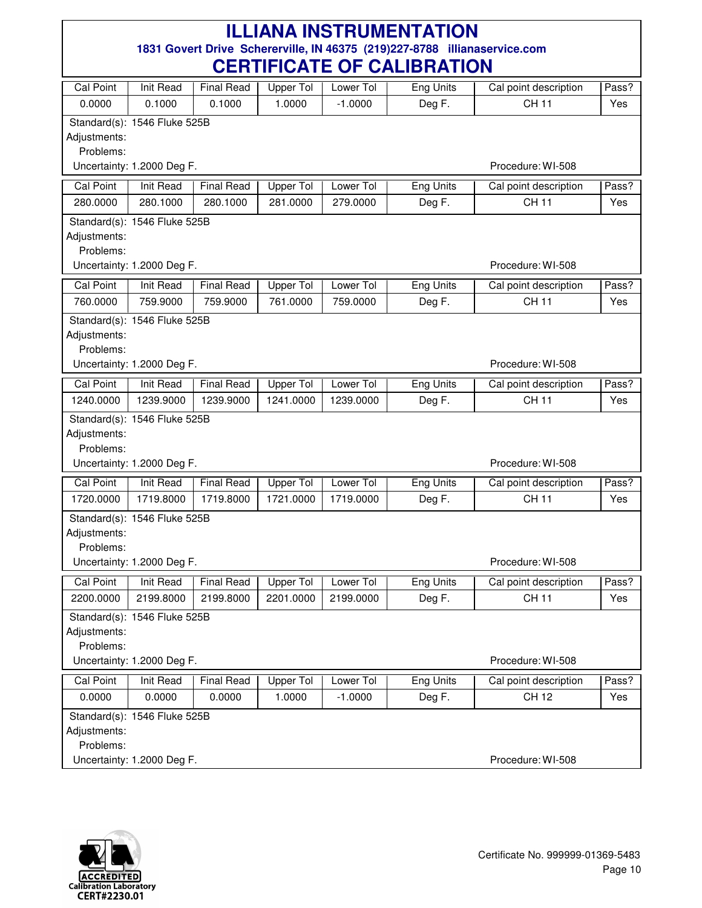|                           |                              |                         | VLIIIII IVAIL VI |                                    | <b>VALIPHATIVIT</b>        |                                       |              |
|---------------------------|------------------------------|-------------------------|------------------|------------------------------------|----------------------------|---------------------------------------|--------------|
| Cal Point                 | <b>Init Read</b>             | <b>Final Read</b>       | <b>Upper Tol</b> | Lower Tol                          | Eng Units                  | Cal point description                 | Pass?        |
| 0.0000                    | 0.1000                       | 0.1000                  | 1.0000           | $-1.0000$                          | Deg F.                     | <b>CH 11</b>                          | Yes          |
|                           | Standard(s): 1546 Fluke 525B |                         |                  |                                    |                            |                                       |              |
| Adjustments:              |                              |                         |                  |                                    |                            |                                       |              |
| Problems:                 |                              |                         |                  |                                    |                            |                                       |              |
|                           | Uncertainty: 1.2000 Deg F.   |                         |                  |                                    |                            | Procedure: WI-508                     |              |
| <b>Cal Point</b>          | <b>Init Read</b>             | <b>Final Read</b>       | <b>Upper Tol</b> | Lower Tol                          | <b>Eng Units</b>           | Cal point description                 | Pass?        |
| 280.0000                  | 280.1000                     | 280.1000                | 281.0000         | 279.0000                           | Deg F.                     | <b>CH 11</b>                          | Yes          |
|                           | Standard(s): 1546 Fluke 525B |                         |                  |                                    |                            |                                       |              |
| Adjustments:              |                              |                         |                  |                                    |                            |                                       |              |
| Problems:                 |                              |                         |                  |                                    |                            |                                       |              |
|                           | Uncertainty: 1.2000 Deg F.   |                         |                  |                                    |                            | Procedure: WI-508                     |              |
| Cal Point                 | Init Read                    | <b>Final Read</b>       | <b>Upper Tol</b> | Lower Tol                          | <b>Eng Units</b>           | Cal point description                 | Pass?        |
| 760.0000                  | 759.9000                     | 759.9000                | 761.0000         | 759.0000                           | Deg F.                     | <b>CH 11</b>                          | Yes          |
|                           | Standard(s): 1546 Fluke 525B |                         |                  |                                    |                            |                                       |              |
| Adjustments:              |                              |                         |                  |                                    |                            |                                       |              |
| Problems:                 |                              |                         |                  |                                    |                            |                                       |              |
|                           | Uncertainty: 1.2000 Deg F.   |                         |                  |                                    |                            | Procedure: WI-508                     |              |
| Cal Point                 | <b>Init Read</b>             | <b>Final Read</b>       | <b>Upper Tol</b> | Lower Tol                          | <b>Eng Units</b>           | Cal point description                 | Pass?        |
| 1240.0000                 | 1239.9000                    | 1239.9000               | 1241.0000        | 1239.0000                          | Deg F.                     | <b>CH 11</b>                          | Yes          |
|                           | Standard(s): 1546 Fluke 525B |                         |                  |                                    |                            |                                       |              |
| Adjustments:<br>Problems: |                              |                         |                  |                                    |                            |                                       |              |
|                           | Uncertainty: 1.2000 Deg F.   |                         |                  |                                    |                            | Procedure: WI-508                     |              |
|                           |                              |                         |                  |                                    |                            |                                       |              |
| <b>Cal Point</b>          | Init Read                    | <b>Final Read</b>       | <b>Upper Tol</b> | Lower Tol                          | Eng Units                  | Cal point description                 | Pass?        |
| 1720.0000                 | 1719.8000                    | 1719.8000               | 1721.0000        | 1719.0000                          | Deg F.                     | <b>CH 11</b>                          | Yes          |
|                           | Standard(s): 1546 Fluke 525B |                         |                  |                                    |                            |                                       |              |
| Adjustments:<br>Problems: |                              |                         |                  |                                    |                            |                                       |              |
|                           | Uncertainty: 1.2000 Deg F.   |                         |                  |                                    |                            | Procedure: WI-508                     |              |
|                           | Init Read                    |                         |                  |                                    |                            |                                       |              |
| Cal Point<br>2200.0000    | 2199.8000                    | Final Read<br>2199.8000 | 2201.0000        | Upper Tol   Lower Tol<br>2199.0000 | <b>Eng Units</b><br>Deg F. | Cal point description<br><b>CH 11</b> | Pass?<br>Yes |
|                           |                              |                         |                  |                                    |                            |                                       |              |
| Adjustments:              | Standard(s): 1546 Fluke 525B |                         |                  |                                    |                            |                                       |              |
| Problems:                 |                              |                         |                  |                                    |                            |                                       |              |
|                           | Uncertainty: 1.2000 Deg F.   |                         |                  |                                    |                            | Procedure: WI-508                     |              |
| <b>Cal Point</b>          | <b>Init Read</b>             | <b>Final Read</b>       | <b>Upper Tol</b> | Lower Tol                          | <b>Eng Units</b>           | Cal point description                 | Pass?        |
| 0.0000                    | 0.0000                       | 0.0000                  | 1.0000           | $-1.0000$                          | Deg F.                     | <b>CH 12</b>                          | Yes          |
|                           | Standard(s): 1546 Fluke 525B |                         |                  |                                    |                            |                                       |              |
| Adjustments:              |                              |                         |                  |                                    |                            |                                       |              |
| Problems:                 |                              |                         |                  |                                    |                            |                                       |              |
|                           | Uncertainty: 1.2000 Deg F.   |                         |                  |                                    |                            | Procedure: WI-508                     |              |

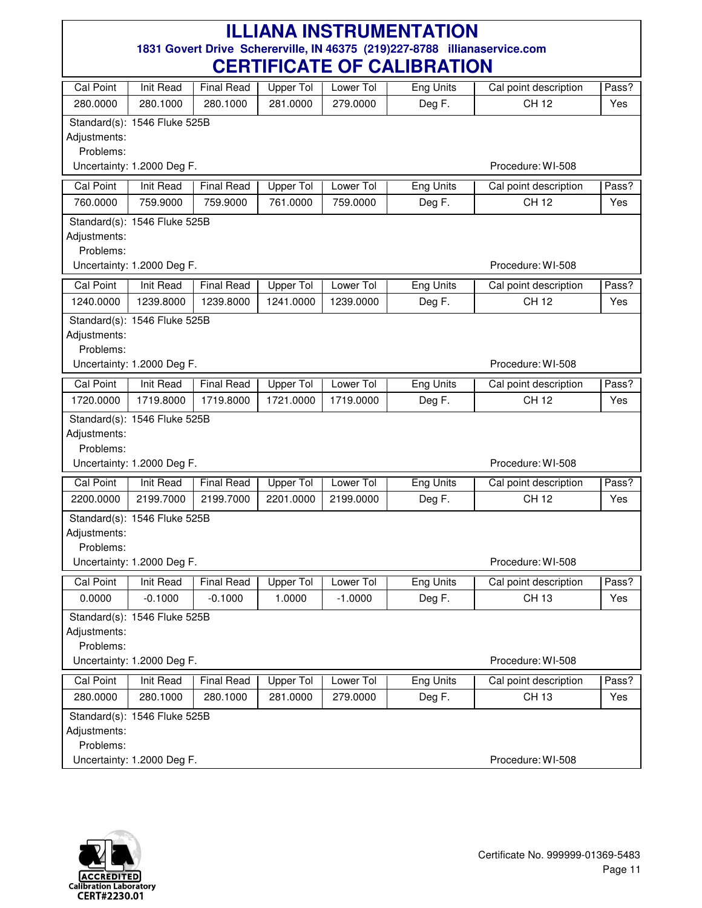| Cal Point        | Init Read                    | <b>Final Read</b> | <b>Upper Tol</b> | Lower Tol | <b>Eng Units</b> | Cal point description | Pass? |
|------------------|------------------------------|-------------------|------------------|-----------|------------------|-----------------------|-------|
| 280.0000         | 280.1000                     | 280.1000          | 281.0000         | 279.0000  | Deg F.           | <b>CH 12</b>          | Yes   |
|                  | Standard(s): 1546 Fluke 525B |                   |                  |           |                  |                       |       |
| Adjustments:     |                              |                   |                  |           |                  |                       |       |
| Problems:        |                              |                   |                  |           |                  |                       |       |
|                  | Uncertainty: 1.2000 Deg F.   |                   |                  |           |                  | Procedure: WI-508     |       |
| Cal Point        | Init Read                    | <b>Final Read</b> | Upper Tol        | Lower Tol | Eng Units        | Cal point description | Pass? |
| 760.0000         | 759.9000                     | 759.9000          | 761.0000         | 759.0000  | Deg F.           | CH 12                 | Yes   |
|                  | Standard(s): 1546 Fluke 525B |                   |                  |           |                  |                       |       |
| Adjustments:     |                              |                   |                  |           |                  |                       |       |
| Problems:        |                              |                   |                  |           |                  |                       |       |
|                  | Uncertainty: 1.2000 Deg F.   |                   |                  |           |                  | Procedure: WI-508     |       |
| Cal Point        | Init Read                    | <b>Final Read</b> | <b>Upper Tol</b> | Lower Tol | <b>Eng Units</b> | Cal point description | Pass? |
| 1240.0000        | 1239.8000                    | 1239.8000         | 1241.0000        | 1239.0000 | Deg F.           | <b>CH 12</b>          | Yes   |
|                  | Standard(s): 1546 Fluke 525B |                   |                  |           |                  |                       |       |
| Adjustments:     |                              |                   |                  |           |                  |                       |       |
| Problems:        |                              |                   |                  |           |                  |                       |       |
|                  | Uncertainty: 1.2000 Deg F.   |                   |                  |           |                  | Procedure: WI-508     |       |
| Cal Point        | <b>Init Read</b>             | <b>Final Read</b> | <b>Upper Tol</b> | Lower Tol | <b>Eng Units</b> | Cal point description | Pass? |
| 1720.0000        | 1719.8000                    | 1719.8000         | 1721.0000        | 1719.0000 | Deg F.           | CH 12                 | Yes   |
|                  | Standard(s): 1546 Fluke 525B |                   |                  |           |                  |                       |       |
| Adjustments:     |                              |                   |                  |           |                  |                       |       |
| Problems:        |                              |                   |                  |           |                  |                       |       |
|                  | Uncertainty: 1.2000 Deg F.   |                   |                  |           |                  | Procedure: WI-508     |       |
| <b>Cal Point</b> | <b>Init Read</b>             | <b>Final Read</b> | Upper Tol        | Lower Tol | <b>Eng Units</b> | Cal point description | Pass? |
| 2200.0000        | 2199.7000                    | 2199.7000         | 2201.0000        | 2199.0000 | Deg F.           | <b>CH 12</b>          | Yes   |
|                  | Standard(s): 1546 Fluke 525B |                   |                  |           |                  |                       |       |
| Adjustments:     |                              |                   |                  |           |                  |                       |       |
| Problems:        |                              |                   |                  |           |                  |                       |       |
|                  | Uncertainty: 1.2000 Deg F.   |                   |                  |           |                  | Procedure: WI-508     |       |
| Cal Point        | Init Read                    | <b>Final Read</b> | Upper Tol        | Lower Tol | Eng Units        | Cal point description | Pass? |
| 0.0000           | $-0.1000$                    | $-0.1000$         | 1.0000           | $-1.0000$ | Deg F.           | <b>CH 13</b>          | Yes   |
|                  | Standard(s): 1546 Fluke 525B |                   |                  |           |                  |                       |       |
| Adjustments:     |                              |                   |                  |           |                  |                       |       |
| Problems:        |                              |                   |                  |           |                  |                       |       |
|                  | Uncertainty: 1.2000 Deg F.   |                   |                  |           |                  | Procedure: WI-508     |       |
| <b>Cal Point</b> | <b>Init Read</b>             | <b>Final Read</b> | <b>Upper Tol</b> | Lower Tol | <b>Eng Units</b> | Cal point description | Pass? |
| 280.0000         | 280.1000                     | 280.1000          | 281.0000         | 279.0000  | Deg F.           | CH 13                 | Yes   |
|                  | Standard(s): 1546 Fluke 525B |                   |                  |           |                  |                       |       |
| Adjustments:     |                              |                   |                  |           |                  |                       |       |
| Problems:        |                              |                   |                  |           |                  |                       |       |
|                  | Uncertainty: 1.2000 Deg F.   |                   |                  |           |                  | Procedure: WI-508     |       |

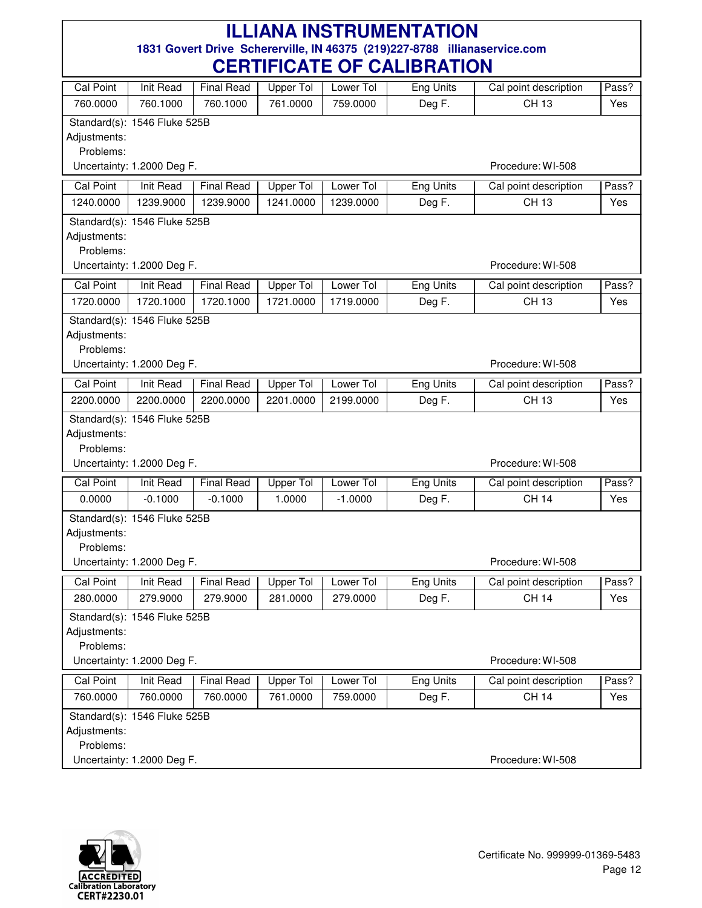| Cal Point        | Init Read                    | <b>Final Read</b> | <b>Upper Tol</b> | Lower Tol | <b>Eng Units</b> | Cal point description | Pass? |
|------------------|------------------------------|-------------------|------------------|-----------|------------------|-----------------------|-------|
| 760.0000         | 760.1000                     | 760.1000          | 761.0000         | 759.0000  | Deg F.           | <b>CH 13</b>          | Yes   |
|                  | Standard(s): 1546 Fluke 525B |                   |                  |           |                  |                       |       |
| Adjustments:     |                              |                   |                  |           |                  |                       |       |
| Problems:        |                              |                   |                  |           |                  |                       |       |
|                  | Uncertainty: 1.2000 Deg F.   |                   |                  |           |                  | Procedure: WI-508     |       |
| Cal Point        | Init Read                    | <b>Final Read</b> | Upper Tol        | Lower Tol | Eng Units        | Cal point description | Pass? |
| 1240.0000        | 1239.9000                    | 1239.9000         | 1241.0000        | 1239.0000 | Deg F.           | CH 13                 | Yes   |
|                  | Standard(s): 1546 Fluke 525B |                   |                  |           |                  |                       |       |
| Adjustments:     |                              |                   |                  |           |                  |                       |       |
| Problems:        |                              |                   |                  |           |                  |                       |       |
|                  | Uncertainty: 1.2000 Deg F.   |                   |                  |           |                  | Procedure: WI-508     |       |
| Cal Point        | Init Read                    | <b>Final Read</b> | <b>Upper Tol</b> | Lower Tol | <b>Eng Units</b> | Cal point description | Pass? |
| 1720.0000        | 1720.1000                    | 1720.1000         | 1721.0000        | 1719.0000 | Deg F.           | <b>CH 13</b>          | Yes   |
|                  | Standard(s): 1546 Fluke 525B |                   |                  |           |                  |                       |       |
| Adjustments:     |                              |                   |                  |           |                  |                       |       |
| Problems:        |                              |                   |                  |           |                  |                       |       |
|                  | Uncertainty: 1.2000 Deg F.   |                   |                  |           |                  | Procedure: WI-508     |       |
| Cal Point        | Init Read                    | <b>Final Read</b> | <b>Upper Tol</b> | Lower Tol | <b>Eng Units</b> | Cal point description | Pass? |
| 2200.0000        | 2200.0000                    | 2200.0000         | 2201.0000        | 2199.0000 | Deg F.           | <b>CH 13</b>          | Yes   |
|                  | Standard(s): 1546 Fluke 525B |                   |                  |           |                  |                       |       |
| Adjustments:     |                              |                   |                  |           |                  |                       |       |
| Problems:        |                              |                   |                  |           |                  |                       |       |
|                  | Uncertainty: 1.2000 Deg F.   |                   |                  |           |                  | Procedure: WI-508     |       |
| <b>Cal Point</b> | <b>Init Read</b>             | <b>Final Read</b> | Upper Tol        | Lower Tol | <b>Eng Units</b> | Cal point description | Pass? |
| 0.0000           | $-0.1000$                    | $-0.1000$         | 1.0000           | $-1.0000$ | Deg F.           | <b>CH 14</b>          | Yes   |
|                  | Standard(s): 1546 Fluke 525B |                   |                  |           |                  |                       |       |
| Adjustments:     |                              |                   |                  |           |                  |                       |       |
| Problems:        |                              |                   |                  |           |                  |                       |       |
|                  | Uncertainty: 1.2000 Deg F.   |                   |                  |           |                  | Procedure: WI-508     |       |
| Cal Point        | Init Read                    | <b>Final Read</b> | Upper Tol        | Lower Tol | Eng Units        | Cal point description | Pass? |
| 280.0000         | 279.9000                     | 279.9000          | 281.0000         | 279.0000  | Deg F.           | <b>CH 14</b>          | Yes   |
|                  | Standard(s): 1546 Fluke 525B |                   |                  |           |                  |                       |       |
| Adjustments:     |                              |                   |                  |           |                  |                       |       |
| Problems:        |                              |                   |                  |           |                  |                       |       |
|                  | Uncertainty: 1.2000 Deg F.   |                   |                  |           |                  | Procedure: WI-508     |       |
| <b>Cal Point</b> | <b>Init Read</b>             | <b>Final Read</b> | <b>Upper Tol</b> | Lower Tol | <b>Eng Units</b> | Cal point description | Pass? |
| 760.0000         | 760.0000                     | 760.0000          | 761.0000         | 759.0000  | Deg F.           | <b>CH 14</b>          | Yes   |
|                  | Standard(s): 1546 Fluke 525B |                   |                  |           |                  |                       |       |
| Adjustments:     |                              |                   |                  |           |                  |                       |       |
| Problems:        |                              |                   |                  |           |                  |                       |       |
|                  | Uncertainty: 1.2000 Deg F.   |                   |                  |           |                  | Procedure: WI-508     |       |

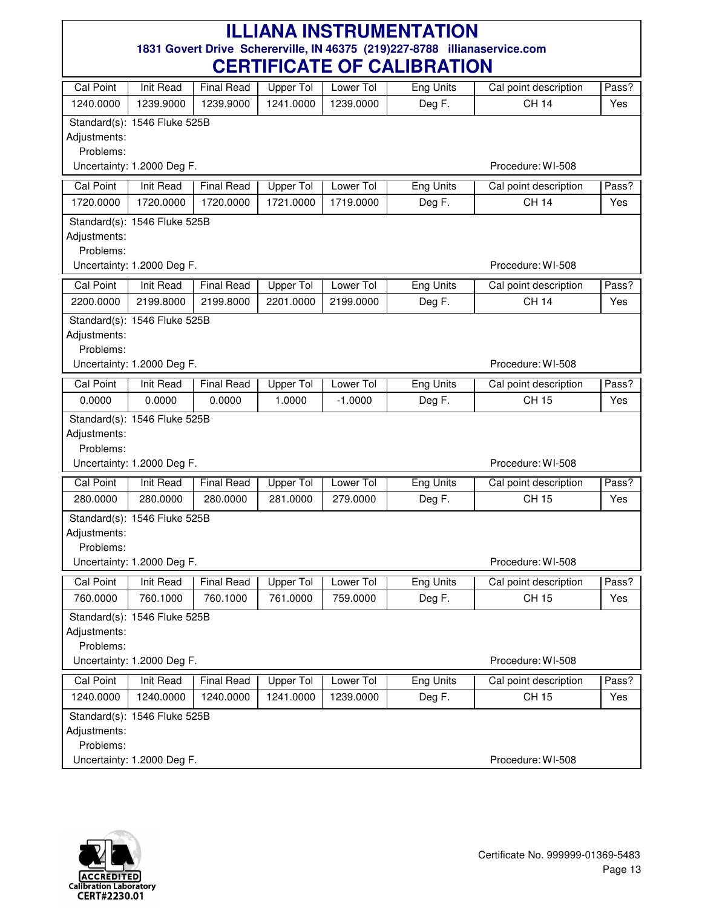| VLIIIII IVAIL VI<br><u>VALIDI IATIVIT</u> |                              |                   |                  |           |                  |                       |       |  |  |
|-------------------------------------------|------------------------------|-------------------|------------------|-----------|------------------|-----------------------|-------|--|--|
| <b>Cal Point</b>                          | Init Read                    | <b>Final Read</b> | Upper Tol        | Lower Tol | Eng Units        | Cal point description | Pass? |  |  |
| 1240.0000                                 | 1239.9000                    | 1239.9000         | 1241.0000        | 1239.0000 | Deg F.           | <b>CH 14</b>          | Yes   |  |  |
|                                           | Standard(s): 1546 Fluke 525B |                   |                  |           |                  |                       |       |  |  |
| Adjustments:                              |                              |                   |                  |           |                  |                       |       |  |  |
| Problems:                                 |                              |                   |                  |           |                  |                       |       |  |  |
| Uncertainty: 1.2000 Deg F.                |                              |                   |                  |           |                  | Procedure: WI-508     |       |  |  |
| Cal Point                                 | <b>Init Read</b>             | <b>Final Read</b> | <b>Upper Tol</b> | Lower Tol | <b>Eng Units</b> | Cal point description | Pass? |  |  |
| 1720.0000                                 | 1720.0000                    | 1720.0000         | 1721.0000        | 1719.0000 | Deg F.           | <b>CH 14</b>          | Yes   |  |  |
|                                           | Standard(s): 1546 Fluke 525B |                   |                  |           |                  |                       |       |  |  |
| Adjustments:                              |                              |                   |                  |           |                  |                       |       |  |  |
|                                           | Problems:                    |                   |                  |           |                  |                       |       |  |  |
|                                           | Uncertainty: 1.2000 Deg F.   |                   |                  |           |                  | Procedure: WI-508     |       |  |  |
| <b>Cal Point</b>                          | Init Read                    | <b>Final Read</b> | Upper Tol        | Lower Tol | <b>Eng Units</b> | Cal point description | Pass? |  |  |
| 2200.0000                                 | 2199.8000                    | 2199.8000         | 2201.0000        | 2199.0000 | Deg F.           | <b>CH 14</b>          | Yes   |  |  |
|                                           | Standard(s): 1546 Fluke 525B |                   |                  |           |                  |                       |       |  |  |
| Adjustments:                              |                              |                   |                  |           |                  |                       |       |  |  |
| Problems:                                 |                              |                   |                  |           |                  |                       |       |  |  |
|                                           | Uncertainty: 1.2000 Deg F.   |                   |                  |           |                  | Procedure: WI-508     |       |  |  |
| <b>Cal Point</b>                          | Init Read                    | <b>Final Read</b> | <b>Upper Tol</b> | Lower Tol | <b>Eng Units</b> | Cal point description | Pass? |  |  |
| 0.0000                                    | 0.0000                       | 0.0000            | 1.0000           | $-1.0000$ | Deg F.           | <b>CH 15</b>          | Yes   |  |  |
|                                           | Standard(s): 1546 Fluke 525B |                   |                  |           |                  |                       |       |  |  |
| Adjustments:                              |                              |                   |                  |           |                  |                       |       |  |  |
| Problems:                                 |                              |                   |                  |           |                  |                       |       |  |  |
|                                           | Uncertainty: 1.2000 Deg F.   |                   |                  |           |                  | Procedure: WI-508     |       |  |  |
| <b>Cal Point</b>                          | <b>Init Read</b>             | <b>Final Read</b> | Upper Tol        | Lower Tol | Eng Units        | Cal point description | Pass? |  |  |
| 280.0000                                  | 280.0000                     | 280.0000          | 281.0000         | 279.0000  | Deg F.           | CH 15                 | Yes   |  |  |
|                                           | Standard(s): 1546 Fluke 525B |                   |                  |           |                  |                       |       |  |  |
| Adjustments:                              |                              |                   |                  |           |                  |                       |       |  |  |
| Problems:                                 |                              |                   |                  |           |                  |                       |       |  |  |
|                                           | Uncertainty: 1.2000 Deg F.   |                   |                  |           |                  | Procedure: WI-508     |       |  |  |
| <b>Cal Point</b>                          | Init Read                    | Final Read        | Upper Tol        | Lower Tol | Eng Units        | Cal point description | Pass? |  |  |
| 760.0000                                  | 760.1000                     | 760.1000          | 761.0000         | 759.0000  | Deg F.           | CH 15                 | Yes   |  |  |
|                                           | Standard(s): 1546 Fluke 525B |                   |                  |           |                  |                       |       |  |  |
| Adjustments:                              |                              |                   |                  |           |                  |                       |       |  |  |
| Problems:                                 |                              |                   |                  |           |                  |                       |       |  |  |
|                                           | Uncertainty: 1.2000 Deg F.   |                   |                  |           |                  | Procedure: WI-508     |       |  |  |
| <b>Cal Point</b>                          | Init Read                    | <b>Final Read</b> | Upper Tol        | Lower Tol | <b>Eng Units</b> | Cal point description | Pass? |  |  |
| 1240.0000                                 | 1240.0000                    | 1240.0000         | 1241.0000        | 1239.0000 | Deg F.           | <b>CH 15</b>          | Yes   |  |  |
|                                           | Standard(s): 1546 Fluke 525B |                   |                  |           |                  |                       |       |  |  |
| Adjustments:                              |                              |                   |                  |           |                  |                       |       |  |  |
| Problems:                                 |                              |                   |                  |           |                  | Procedure: WI-508     |       |  |  |
|                                           | Uncertainty: 1.2000 Deg F.   |                   |                  |           |                  |                       |       |  |  |

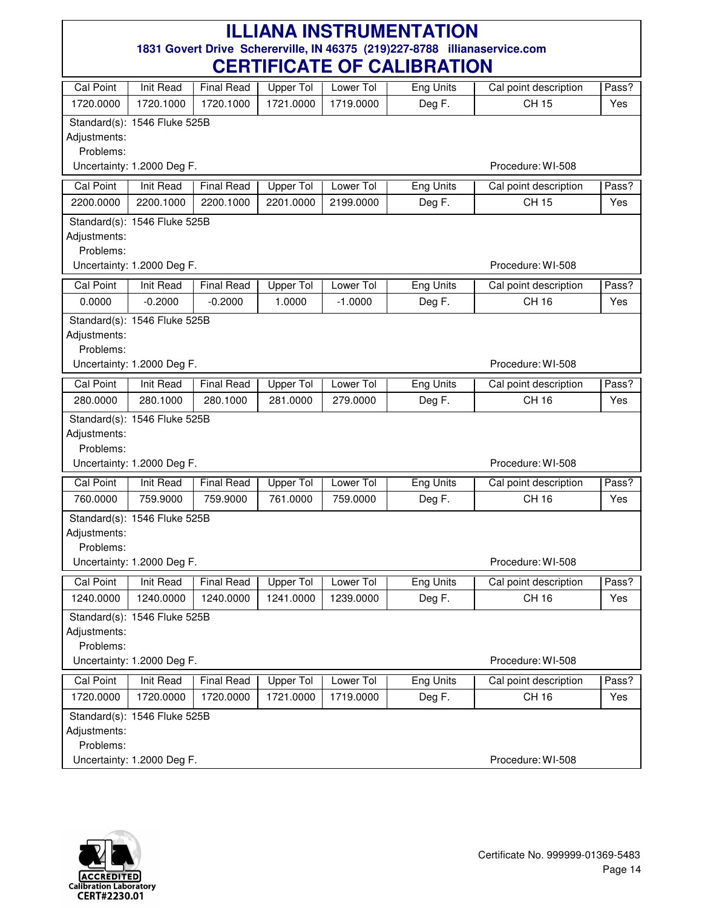| Cal Point                 | Init Read                    | <b>Final Read</b> | Upper Tol        | Lower Tol | Eng Units        | Cal point description | Pass? |
|---------------------------|------------------------------|-------------------|------------------|-----------|------------------|-----------------------|-------|
| 1720.0000                 | 1720.1000                    | 1720.1000         | 1721.0000        | 1719.0000 | Deg F.           | <b>CH 15</b>          | Yes   |
|                           | Standard(s): 1546 Fluke 525B |                   |                  |           |                  |                       |       |
| Adjustments:              |                              |                   |                  |           |                  |                       |       |
| Problems:                 |                              |                   |                  |           |                  |                       |       |
|                           | Uncertainty: 1.2000 Deg F.   |                   |                  |           |                  | Procedure: WI-508     |       |
| <b>Cal Point</b>          | Init Read                    | <b>Final Read</b> | <b>Upper Tol</b> | Lower Tol | Eng Units        | Cal point description | Pass? |
| 2200.0000                 | 2200.1000                    | 2200.1000         | 2201.0000        | 2199.0000 | Deg F.           | <b>CH 15</b>          | Yes   |
|                           | Standard(s): 1546 Fluke 525B |                   |                  |           |                  |                       |       |
| Adjustments:              |                              |                   |                  |           |                  |                       |       |
| Problems:                 |                              |                   |                  |           |                  |                       |       |
|                           | Uncertainty: 1.2000 Deg F.   |                   |                  |           |                  | Procedure: WI-508     |       |
| <b>Cal Point</b>          | Init Read                    | <b>Final Read</b> | Upper Tol        | Lower Tol | <b>Eng Units</b> | Cal point description | Pass? |
| 0.0000                    | $-0.2000$                    | $-0.2000$         | 1.0000           | $-1.0000$ | Deg F.           | CH 16                 | Yes   |
|                           | Standard(s): 1546 Fluke 525B |                   |                  |           |                  |                       |       |
| Adjustments:              |                              |                   |                  |           |                  |                       |       |
| Problems:                 |                              |                   |                  |           |                  |                       |       |
|                           | Uncertainty: 1.2000 Deg F.   |                   |                  |           |                  | Procedure: WI-508     |       |
| <b>Cal Point</b>          | Init Read                    | <b>Final Read</b> | <b>Upper Tol</b> | Lower Tol | <b>Eng Units</b> | Cal point description | Pass? |
| 280.0000                  | 280.1000                     | 280.1000          | 281.0000         | 279.0000  | Deg F.           | CH 16                 | Yes   |
|                           | Standard(s): 1546 Fluke 525B |                   |                  |           |                  |                       |       |
| Adjustments:              |                              |                   |                  |           |                  |                       |       |
| Problems:                 | Uncertainty: 1.2000 Deg F.   |                   |                  |           |                  | Procedure: WI-508     |       |
|                           |                              |                   |                  |           |                  |                       |       |
| <b>Cal Point</b>          | <b>Init Read</b>             | <b>Final Read</b> | <b>Upper Tol</b> | Lower Tol | <b>Eng Units</b> | Cal point description | Pass? |
| 760.0000                  | 759.9000                     | 759.9000          | 761.0000         | 759.0000  | Deg F.           | CH 16                 | Yes   |
|                           | Standard(s): 1546 Fluke 525B |                   |                  |           |                  |                       |       |
| Adjustments:              |                              |                   |                  |           |                  |                       |       |
| Problems:                 | Uncertainty: 1.2000 Deg F.   |                   |                  |           |                  | Procedure: WI-508     |       |
|                           |                              |                   |                  |           |                  |                       |       |
| Cal Point                 | Init Read                    | <b>Final Read</b> | Upper Tol        | Lower Tol | <b>Eng Units</b> | Cal point description | Pass? |
| 1240.0000                 | 1240.0000                    | 1240.0000         | 1241.0000        | 1239.0000 | Deg F.           | CH 16                 | Yes   |
|                           | Standard(s): 1546 Fluke 525B |                   |                  |           |                  |                       |       |
| Adjustments:<br>Problems: |                              |                   |                  |           |                  |                       |       |
|                           | Uncertainty: 1.2000 Deg F.   |                   |                  |           |                  | Procedure: WI-508     |       |
|                           |                              |                   |                  |           |                  |                       |       |
| <b>Cal Point</b>          | <b>Init Read</b>             | <b>Final Read</b> | <b>Upper Tol</b> | Lower Tol | <b>Eng Units</b> | Cal point description | Pass? |
| 1720.0000                 | 1720.0000                    | 1720.0000         | 1721.0000        | 1719.0000 | Deg F.           | <b>CH 16</b>          | Yes   |
|                           | Standard(s): 1546 Fluke 525B |                   |                  |           |                  |                       |       |
| Adjustments:<br>Problems: |                              |                   |                  |           |                  |                       |       |
|                           | Uncertainty: 1.2000 Deg F.   |                   |                  |           |                  | Procedure: WI-508     |       |
|                           |                              |                   |                  |           |                  |                       |       |